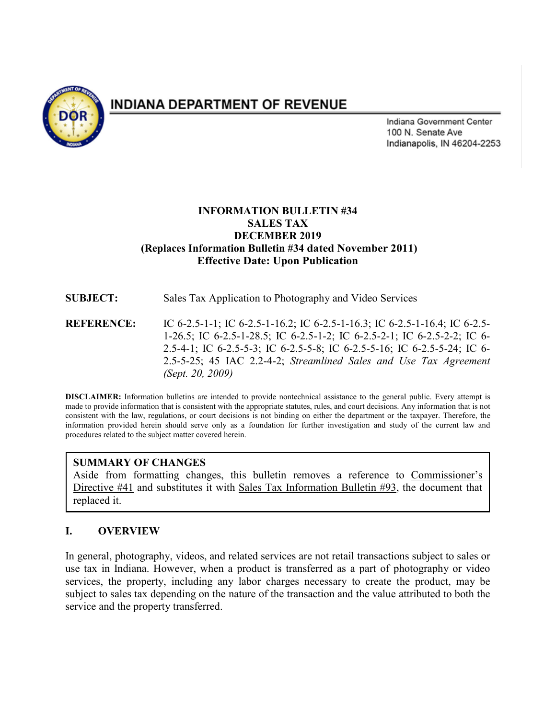

# **INDIANA DEPARTMENT OF REVENUE**

Indiana Government Center 100 N. Senate Ave Indianapolis, IN 46204-2253

# **INFORMATION BULLETIN #34 SALES TAX DECEMBER 2019 (Replaces Information Bulletin #34 dated November 2011) Effective Date: Upon Publication**

**SUBJECT:** Sales Tax Application to Photography and Video Services

**REFERENCE:** IC 6-2.5-1-1; IC 6-2.5-1-16.2; IC 6-2.5-1-16.3; IC 6-2.5-1-16.4; IC 6-2.5- 1-26.5; IC 6-2.5-1-28.5; IC 6-2.5-1-2; IC 6-2.5-2-1; IC 6-2.5-2-2; IC 6- 2.5-4-1; IC 6-2.5-5-3; IC 6-2.5-5-8; IC 6-2.5-5-16; IC 6-2.5-5-24; IC 6- 2.5-5-25; 45 IAC 2.2-4-2; *Streamlined Sales and Use Tax Agreement (Sept. 20, 2009)*

**DISCLAIMER:** Information bulletins are intended to provide nontechnical assistance to the general public. Every attempt is made to provide information that is consistent with the appropriate statutes, rules, and court decisions. Any information that is not consistent with the law, regulations, or court decisions is not binding on either the department or the taxpayer. Therefore, the information provided herein should serve only as a foundation for further investigation and study of the current law and procedures related to the subject matter covered herein.

# **SUMMARY OF CHANGES**

Aside from formatting changes, this bulletin removes a reference to Commissioner's Directive #41 and substitutes it with Sales Tax Information Bulletin #93, the document that replaced it.

# **I. OVERVIEW**

In general, photography, videos, and related services are not retail transactions subject to sales or use tax in Indiana. However, when a product is transferred as a part of photography or video services, the property, including any labor charges necessary to create the product, may be subject to sales tax depending on the nature of the transaction and the value attributed to both the service and the property transferred.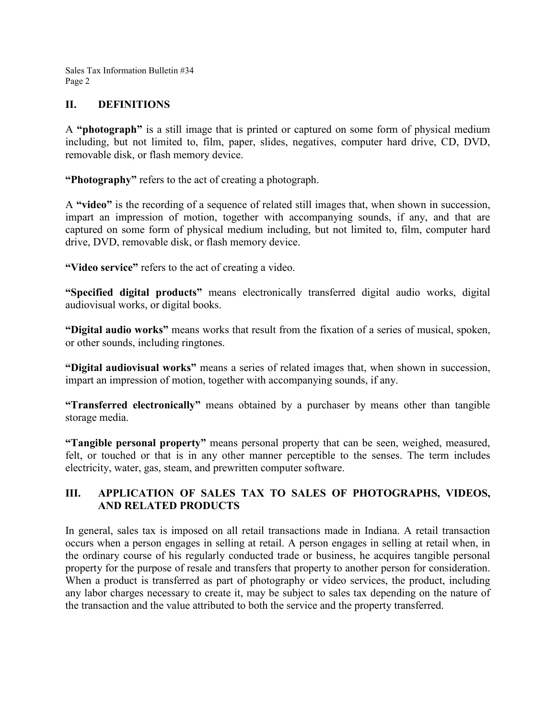Sales Tax Information Bulletin #34 Page 2

#### **II. DEFINITIONS**

A **"photograph"** is a still image that is printed or captured on some form of physical medium including, but not limited to, film, paper, slides, negatives, computer hard drive, CD, DVD, removable disk, or flash memory device.

**"Photography"** refers to the act of creating a photograph.

A **"video"** is the recording of a sequence of related still images that, when shown in succession, impart an impression of motion, together with accompanying sounds, if any, and that are captured on some form of physical medium including, but not limited to, film, computer hard drive, DVD, removable disk, or flash memory device.

**"Video service"** refers to the act of creating a video.

**"Specified digital products"** means electronically transferred digital audio works, digital audiovisual works, or digital books.

**"Digital audio works"** means works that result from the fixation of a series of musical, spoken, or other sounds, including ringtones.

**"Digital audiovisual works"** means a series of related images that, when shown in succession, impart an impression of motion, together with accompanying sounds, if any.

**"Transferred electronically"** means obtained by a purchaser by means other than tangible storage media.

**"Tangible personal property"** means personal property that can be seen, weighed, measured, felt, or touched or that is in any other manner perceptible to the senses. The term includes electricity, water, gas, steam, and prewritten computer software.

# **III. APPLICATION OF SALES TAX TO SALES OF PHOTOGRAPHS, VIDEOS, AND RELATED PRODUCTS**

In general, sales tax is imposed on all retail transactions made in Indiana. A retail transaction occurs when a person engages in selling at retail. A person engages in selling at retail when, in the ordinary course of his regularly conducted trade or business, he acquires tangible personal property for the purpose of resale and transfers that property to another person for consideration. When a product is transferred as part of photography or video services, the product, including any labor charges necessary to create it, may be subject to sales tax depending on the nature of the transaction and the value attributed to both the service and the property transferred.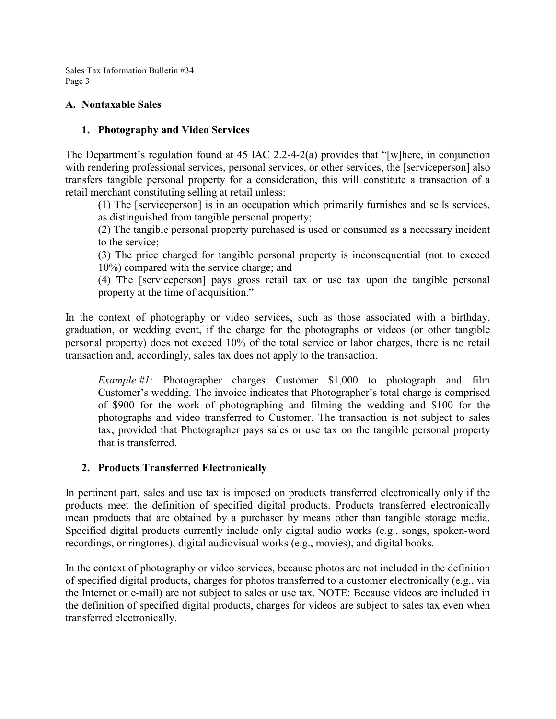Sales Tax Information Bulletin #34 Page 3

#### **A. Nontaxable Sales**

#### **1. Photography and Video Services**

The Department's regulation found at 45 IAC 2.2-4-2(a) provides that "[w]here, in conjunction with rendering professional services, personal services, or other services, the [serviceperson] also transfers tangible personal property for a consideration, this will constitute a transaction of a retail merchant constituting selling at retail unless:

(1) The [serviceperson] is in an occupation which primarily furnishes and sells services, as distinguished from tangible personal property;

(2) The tangible personal property purchased is used or consumed as a necessary incident to the service;

(3) The price charged for tangible personal property is inconsequential (not to exceed 10%) compared with the service charge; and

(4) The [serviceperson] pays gross retail tax or use tax upon the tangible personal property at the time of acquisition."

In the context of photography or video services, such as those associated with a birthday, graduation, or wedding event, if the charge for the photographs or videos (or other tangible personal property) does not exceed 10% of the total service or labor charges, there is no retail transaction and, accordingly, sales tax does not apply to the transaction.

*Example #1*: Photographer charges Customer \$1,000 to photograph and film Customer's wedding. The invoice indicates that Photographer's total charge is comprised of \$900 for the work of photographing and filming the wedding and \$100 for the photographs and video transferred to Customer. The transaction is not subject to sales tax, provided that Photographer pays sales or use tax on the tangible personal property that is transferred.

# **2. Products Transferred Electronically**

In pertinent part, sales and use tax is imposed on products transferred electronically only if the products meet the definition of specified digital products. Products transferred electronically mean products that are obtained by a purchaser by means other than tangible storage media. Specified digital products currently include only digital audio works (e.g., songs, spoken-word recordings, or ringtones), digital audiovisual works (e.g., movies), and digital books.

In the context of photography or video services, because photos are not included in the definition of specified digital products, charges for photos transferred to a customer electronically (e.g., via the Internet or e-mail) are not subject to sales or use tax. NOTE: Because videos are included in the definition of specified digital products, charges for videos are subject to sales tax even when transferred electronically.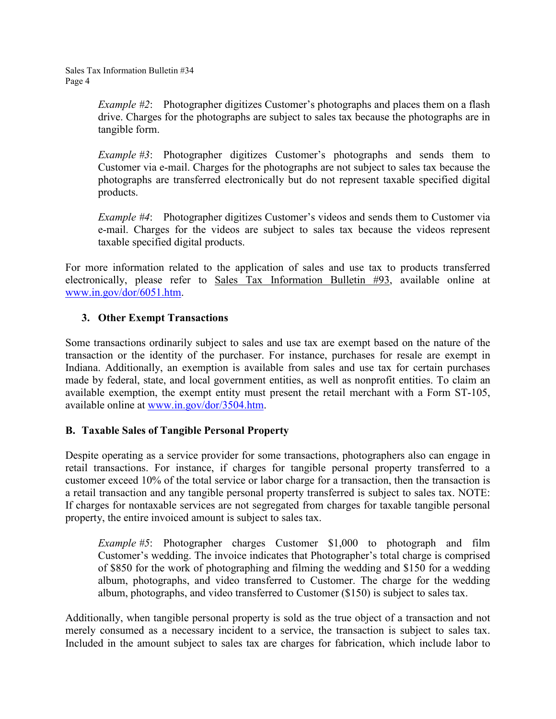*Example #2*: Photographer digitizes Customer's photographs and places them on a flash drive. Charges for the photographs are subject to sales tax because the photographs are in tangible form.

*Example #3*: Photographer digitizes Customer's photographs and sends them to Customer via e-mail. Charges for the photographs are not subject to sales tax because the photographs are transferred electronically but do not represent taxable specified digital products.

*Example #4*: Photographer digitizes Customer's videos and sends them to Customer via e-mail. Charges for the videos are subject to sales tax because the videos represent taxable specified digital products.

For more information related to the application of sales and use tax to products transferred electronically, please refer to Sales Tax Information Bulletin #93, available online at [www.in.gov/dor/6051.htm.](http://www.in.gov/dor/6051.htm)

# **3. Other Exempt Transactions**

Some transactions ordinarily subject to sales and use tax are exempt based on the nature of the transaction or the identity of the purchaser. For instance, purchases for resale are exempt in Indiana. Additionally, an exemption is available from sales and use tax for certain purchases made by federal, state, and local government entities, as well as nonprofit entities. To claim an available exemption, the exempt entity must present the retail merchant with a Form ST-105, available online at [www.in.gov/dor/3504.htm.](http://www.in.gov/dor/3504.htm)

# **B. Taxable Sales of Tangible Personal Property**

Despite operating as a service provider for some transactions, photographers also can engage in retail transactions. For instance, if charges for tangible personal property transferred to a customer exceed 10% of the total service or labor charge for a transaction, then the transaction is a retail transaction and any tangible personal property transferred is subject to sales tax. NOTE: If charges for nontaxable services are not segregated from charges for taxable tangible personal property, the entire invoiced amount is subject to sales tax.

*Example #5*: Photographer charges Customer \$1,000 to photograph and film Customer's wedding. The invoice indicates that Photographer's total charge is comprised of \$850 for the work of photographing and filming the wedding and \$150 for a wedding album, photographs, and video transferred to Customer. The charge for the wedding album, photographs, and video transferred to Customer (\$150) is subject to sales tax.

Additionally, when tangible personal property is sold as the true object of a transaction and not merely consumed as a necessary incident to a service, the transaction is subject to sales tax. Included in the amount subject to sales tax are charges for fabrication, which include labor to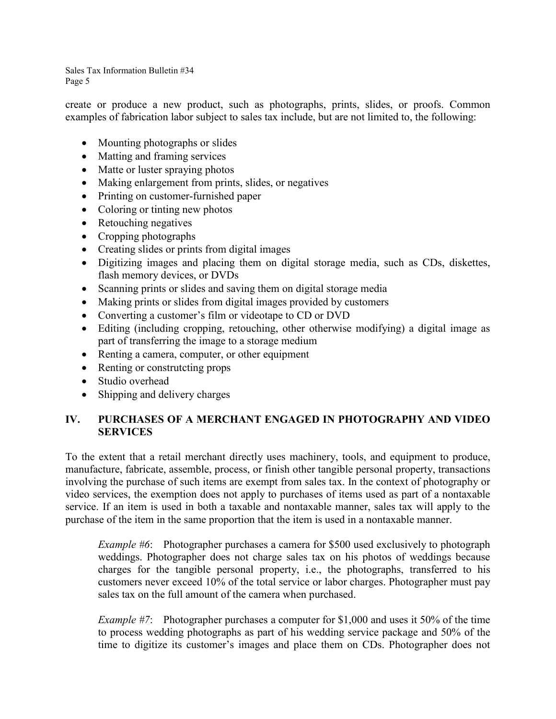Sales Tax Information Bulletin #34 Page 5

create or produce a new product, such as photographs, prints, slides, or proofs. Common examples of fabrication labor subject to sales tax include, but are not limited to, the following:

- Mounting photographs or slides
- Matting and framing services
- Matte or luster spraying photos
- Making enlargement from prints, slides, or negatives
- Printing on customer-furnished paper
- Coloring or tinting new photos
- Retouching negatives
- Cropping photographs
- Creating slides or prints from digital images
- Digitizing images and placing them on digital storage media, such as CDs, diskettes, flash memory devices, or DVDs
- Scanning prints or slides and saving them on digital storage media
- Making prints or slides from digital images provided by customers
- Converting a customer's film or videotape to CD or DVD
- Editing (including cropping, retouching, other otherwise modifying) a digital image as part of transferring the image to a storage medium
- Renting a camera, computer, or other equipment
- Renting or construtcting props
- Studio overhead
- Shipping and delivery charges

# **IV. PURCHASES OF A MERCHANT ENGAGED IN PHOTOGRAPHY AND VIDEO SERVICES**

To the extent that a retail merchant directly uses machinery, tools, and equipment to produce, manufacture, fabricate, assemble, process, or finish other tangible personal property, transactions involving the purchase of such items are exempt from sales tax. In the context of photography or video services, the exemption does not apply to purchases of items used as part of a nontaxable service. If an item is used in both a taxable and nontaxable manner, sales tax will apply to the purchase of the item in the same proportion that the item is used in a nontaxable manner.

*Example #6*: Photographer purchases a camera for \$500 used exclusively to photograph weddings. Photographer does not charge sales tax on his photos of weddings because charges for the tangible personal property, i.e., the photographs, transferred to his customers never exceed 10% of the total service or labor charges. Photographer must pay sales tax on the full amount of the camera when purchased.

*Example #7*: Photographer purchases a computer for \$1,000 and uses it 50% of the time to process wedding photographs as part of his wedding service package and 50% of the time to digitize its customer's images and place them on CDs. Photographer does not